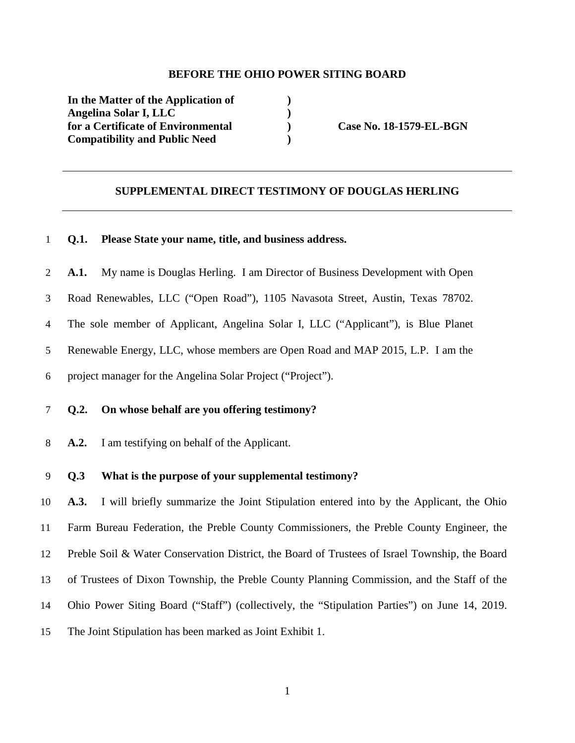#### **BEFORE THE OHIO POWER SITING BOARD**

**In the Matter of the Application of ) Angelina Solar I, LLC )**  for a Certificate of Environmental **Case No. 18-1579-EL-BGN Compatibility and Public Need )** 

### **SUPPLEMENTAL DIRECT TESTIMONY OF DOUGLAS HERLING**

# **Q.1. Please State your name, title, and business address.**

**A.1.** My name is Douglas Herling. I am Director of Business Development with Open

- Road Renewables, LLC ("Open Road"), 1105 Navasota Street, Austin, Texas 78702.
- The sole member of Applicant, Angelina Solar I, LLC ("Applicant"), is Blue Planet
- Renewable Energy, LLC, whose members are Open Road and MAP 2015, L.P. I am the
- project manager for the Angelina Solar Project ("Project").

### **Q.2. On whose behalf are you offering testimony?**

**A.2.** I am testifying on behalf of the Applicant.

# **Q.3 What is the purpose of your supplemental testimony?**

**A.3.** I will briefly summarize the Joint Stipulation entered into by the Applicant, the Ohio Farm Bureau Federation, the Preble County Commissioners, the Preble County Engineer, the Preble Soil & Water Conservation District, the Board of Trustees of Israel Township, the Board of Trustees of Dixon Township, the Preble County Planning Commission, and the Staff of the Ohio Power Siting Board ("Staff") (collectively, the "Stipulation Parties") on June 14, 2019. The Joint Stipulation has been marked as Joint Exhibit 1.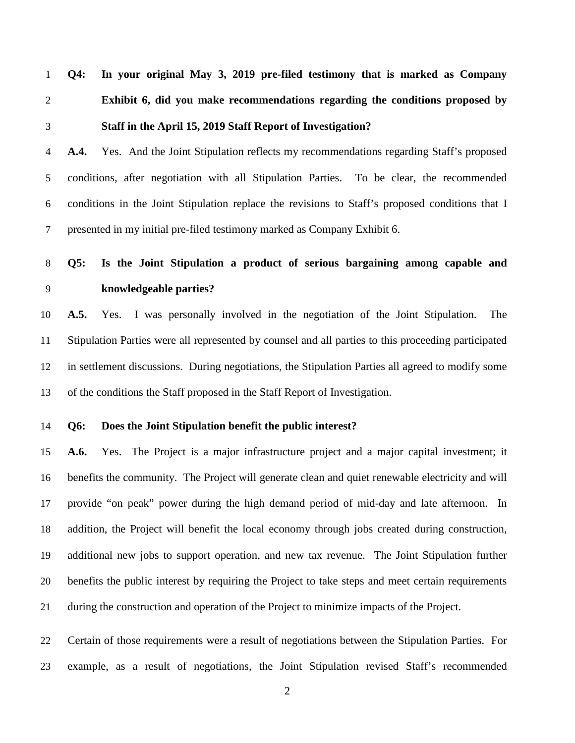**Q4: In your original May 3, 2019 pre-filed testimony that is marked as Company Exhibit 6, did you make recommendations regarding the conditions proposed by Staff in the April 15, 2019 Staff Report of Investigation?** 

**A.4.** Yes. And the Joint Stipulation reflects my recommendations regarding Staff's proposed conditions, after negotiation with all Stipulation Parties. To be clear, the recommended conditions in the Joint Stipulation replace the revisions to Staff's proposed conditions that I presented in my initial pre-filed testimony marked as Company Exhibit 6.

**Q5: Is the Joint Stipulation a product of serious bargaining among capable and knowledgeable parties?** 

**A.5.** Yes. I was personally involved in the negotiation of the Joint Stipulation. The Stipulation Parties were all represented by counsel and all parties to this proceeding participated in settlement discussions. During negotiations, the Stipulation Parties all agreed to modify some of the conditions the Staff proposed in the Staff Report of Investigation.

**Q6: Does the Joint Stipulation benefit the public interest?** 

**A.6.** Yes. The Project is a major infrastructure project and a major capital investment; it benefits the community. The Project will generate clean and quiet renewable electricity and will provide "on peak" power during the high demand period of mid-day and late afternoon. In addition, the Project will benefit the local economy through jobs created during construction, additional new jobs to support operation, and new tax revenue. The Joint Stipulation further benefits the public interest by requiring the Project to take steps and meet certain requirements during the construction and operation of the Project to minimize impacts of the Project.

Certain of those requirements were a result of negotiations between the Stipulation Parties. For example, as a result of negotiations, the Joint Stipulation revised Staff's recommended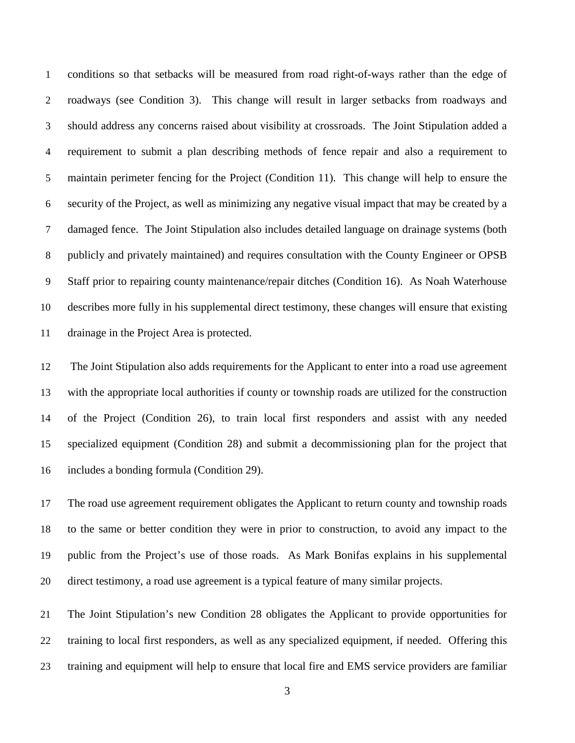conditions so that setbacks will be measured from road right-of-ways rather than the edge of roadways (see Condition 3). This change will result in larger setbacks from roadways and should address any concerns raised about visibility at crossroads. The Joint Stipulation added a requirement to submit a plan describing methods of fence repair and also a requirement to maintain perimeter fencing for the Project (Condition 11). This change will help to ensure the security of the Project, as well as minimizing any negative visual impact that may be created by a damaged fence. The Joint Stipulation also includes detailed language on drainage systems (both publicly and privately maintained) and requires consultation with the County Engineer or OPSB Staff prior to repairing county maintenance/repair ditches (Condition 16). As Noah Waterhouse describes more fully in his supplemental direct testimony, these changes will ensure that existing drainage in the Project Area is protected.

The Joint Stipulation also adds requirements for the Applicant to enter into a road use agreement with the appropriate local authorities if county or township roads are utilized for the construction of the Project (Condition 26), to train local first responders and assist with any needed specialized equipment (Condition 28) and submit a decommissioning plan for the project that includes a bonding formula (Condition 29).

The road use agreement requirement obligates the Applicant to return county and township roads to the same or better condition they were in prior to construction, to avoid any impact to the public from the Project's use of those roads. As Mark Bonifas explains in his supplemental direct testimony, a road use agreement is a typical feature of many similar projects.

The Joint Stipulation's new Condition 28 obligates the Applicant to provide opportunities for training to local first responders, as well as any specialized equipment, if needed. Offering this training and equipment will help to ensure that local fire and EMS service providers are familiar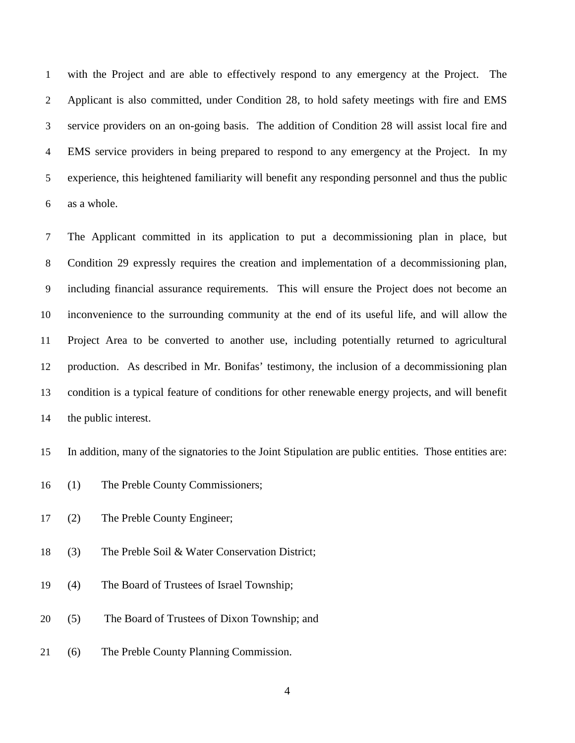with the Project and are able to effectively respond to any emergency at the Project. The Applicant is also committed, under Condition 28, to hold safety meetings with fire and EMS service providers on an on-going basis. The addition of Condition 28 will assist local fire and EMS service providers in being prepared to respond to any emergency at the Project. In my experience, this heightened familiarity will benefit any responding personnel and thus the public as a whole.

The Applicant committed in its application to put a decommissioning plan in place, but Condition 29 expressly requires the creation and implementation of a decommissioning plan, including financial assurance requirements. This will ensure the Project does not become an inconvenience to the surrounding community at the end of its useful life, and will allow the Project Area to be converted to another use, including potentially returned to agricultural production. As described in Mr. Bonifas' testimony, the inclusion of a decommissioning plan condition is a typical feature of conditions for other renewable energy projects, and will benefit the public interest.

In addition, many of the signatories to the Joint Stipulation are public entities. Those entities are:

- (1) The Preble County Commissioners;
- (2) The Preble County Engineer;
- (3) The Preble Soil & Water Conservation District;
- (4) The Board of Trustees of Israel Township;
- (5) The Board of Trustees of Dixon Township; and
- (6) The Preble County Planning Commission.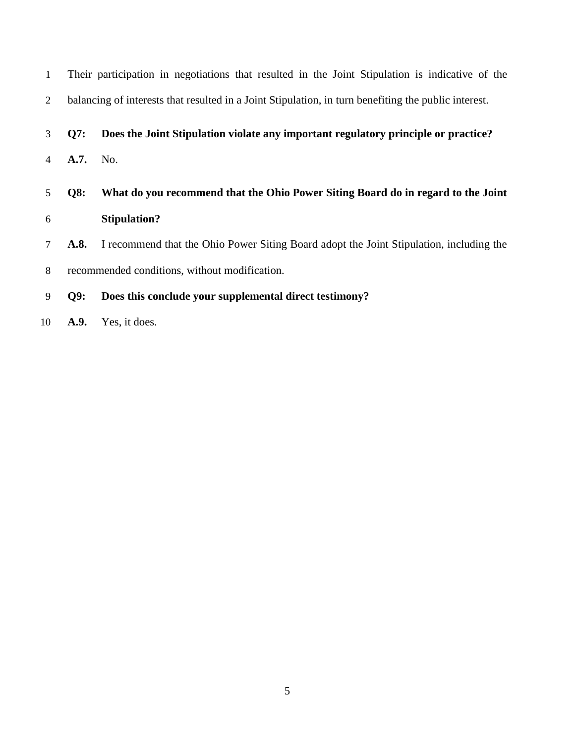| $\mathbf{1}$   |                                               | Their participation in negotiations that resulted in the Joint Stipulation is indicative of the      |
|----------------|-----------------------------------------------|------------------------------------------------------------------------------------------------------|
| $\overline{2}$ |                                               | balancing of interests that resulted in a Joint Stipulation, in turn benefiting the public interest. |
| 3              | <b>O7:</b>                                    | Does the Joint Stipulation violate any important regulatory principle or practice?                   |
| 4              | A.7.                                          | No.                                                                                                  |
| 5              | Q8:                                           | What do you recommend that the Ohio Power Siting Board do in regard to the Joint                     |
| 6              |                                               | <b>Stipulation?</b>                                                                                  |
| 7              | A.8.                                          | I recommend that the Ohio Power Siting Board adopt the Joint Stipulation, including the              |
| 8              | recommended conditions, without modification. |                                                                                                      |
| 9              | Q9:                                           | Does this conclude your supplemental direct testimony?                                               |
| 10             | A.9.                                          | Yes, it does.                                                                                        |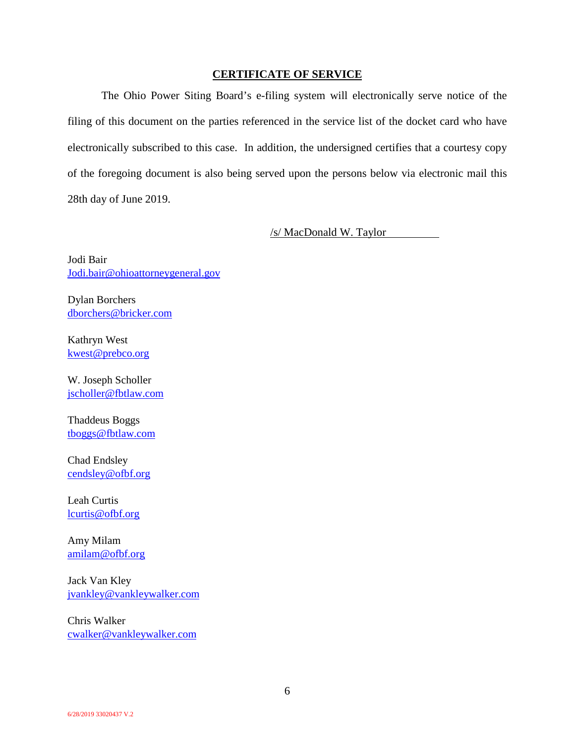# **CERTIFICATE OF SERVICE**

The Ohio Power Siting Board's e-filing system will electronically serve notice of the filing of this document on the parties referenced in the service list of the docket card who have electronically subscribed to this case. In addition, the undersigned certifies that a courtesy copy of the foregoing document is also being served upon the persons below via electronic mail this 28th day of June 2019.

/s/ MacDonald W. Taylor

Jodi Bair Jodi.bair@ohioattorneygeneral.gov

Dylan Borchers dborchers@bricker.com

Kathryn West kwest@prebco.org

W. Joseph Scholler jscholler@fbtlaw.com

Thaddeus Boggs tboggs@fbtlaw.com

Chad Endsley cendsley@ofbf.org

Leah Curtis lcurtis@ofbf.org

Amy Milam amilam@ofbf.org

Jack Van Kley jvankley@vankleywalker.com

Chris Walker cwalker@vankleywalker.com